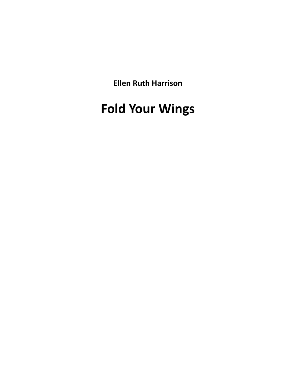**Ellen Ruth Harrison**

# **Fold Your Wings**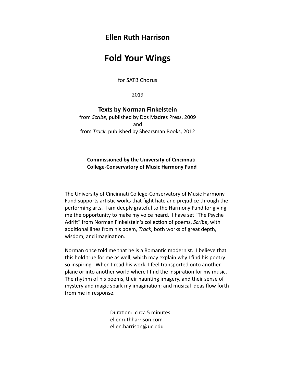**Ellen Ruth Harrison**

## **Fold Your Wings**

for SATB Chorus

2019

### **Texts by Norman Finkelstein**

from *Scribe*, published by Dos Madres Press, 2009 and from *Track*, published by Shearsman Books, 2012

**Commissioned by the University of Cincinnati College-Conservatory of Music Harmony Fund** 

The University of Cincinnati College-Conservatory of Music Harmony Fund supports artistic works that fight hate and prejudice through the performing arts. I am deeply grateful to the Harmony Fund for giving me the opportunity to make my voice heard. I have set "The Psyche Adrift" from Norman Finkelstein's collection of poems, *Scribe*, with additional lines from his poem, *Track*, both works of great depth, wisdom, and imagination.

Norman once told me that he is a Romantic modernist. I believe that this hold true for me as well, which may explain why I find his poetry so inspiring. When I read his work, I feel transported onto another plane or into another world where I find the inspiration for my music. The rhythm of his poems, their haunting imagery, and their sense of mystery and magic spark my imagination; and musical ideas flow forth from me in response.

> Duration: circa 5 minutes ellenruthharrison.com ellen.harrison@uc.edu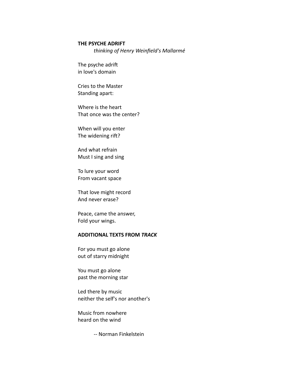#### **THE PSYCHE ADRIFT**

*thinking of Henry Weinfield's Mallarmé*

The psyche adrift in love's domain

Cries to the Master Standing apart:

Where is the heart That once was the center?

When will you enter The widening rift?

And what refrain Must I sing and sing

To lure your word From vacant space

That love might record And never erase?

Peace, came the answer, Fold your wings.

#### **ADDITIONAL TEXTS FROM** *TRACK*

For you must go alone out of starry midnight

You must go alone past the morning star

Led there by music neither the self's nor another's

Music from nowhere heard on the wind

-- Norman Finkelstein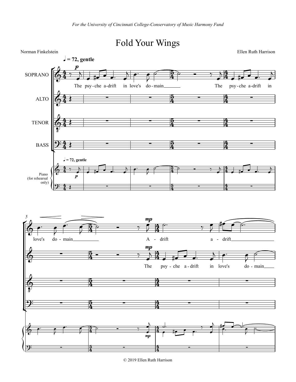



© 2019 Ellen Ruth Harrison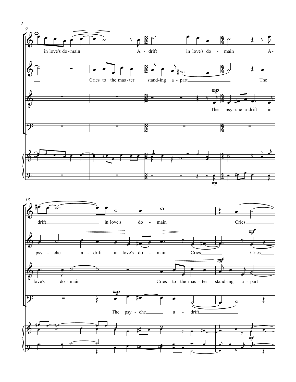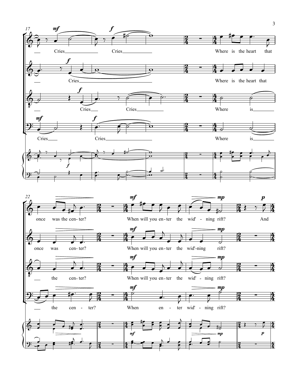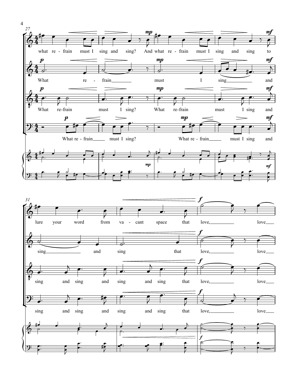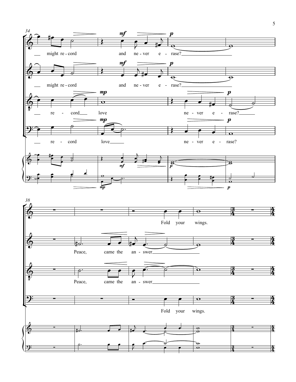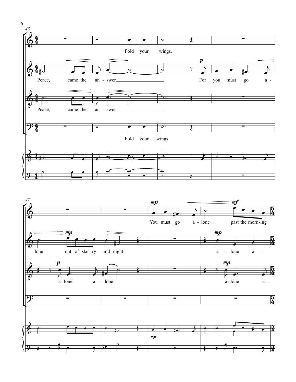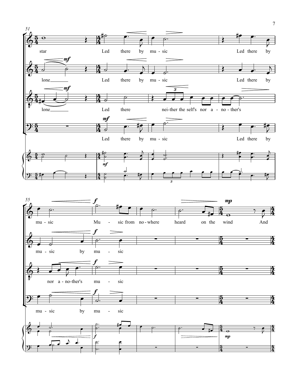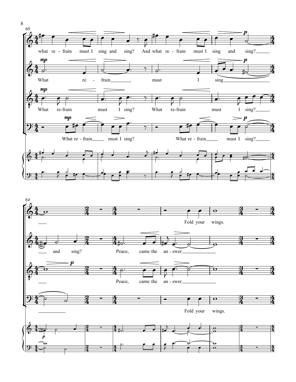